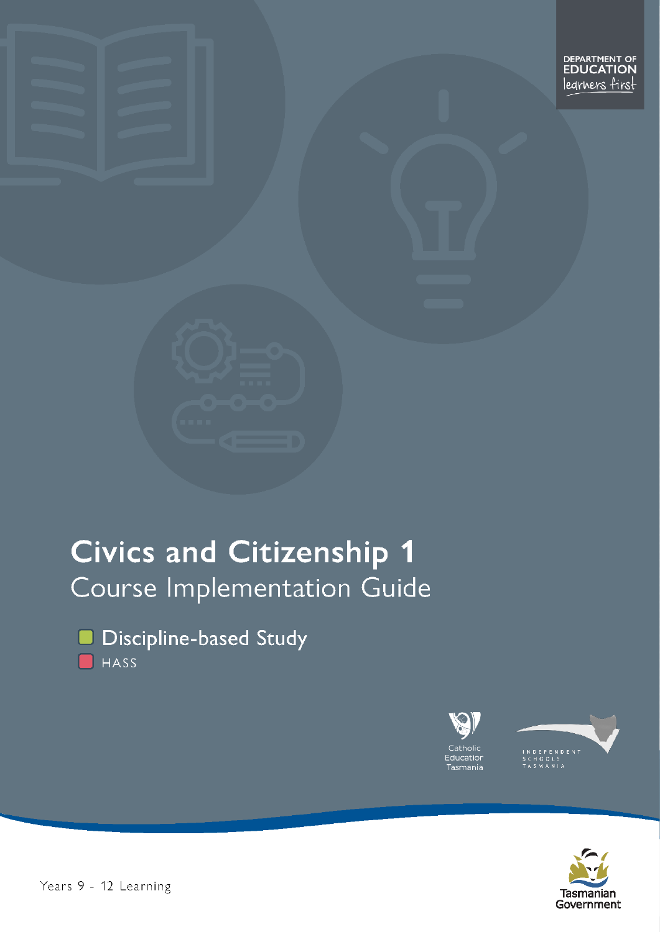# **Civics and Citizenship 1** Course Implementation Guide



Discipline-based Study HASS





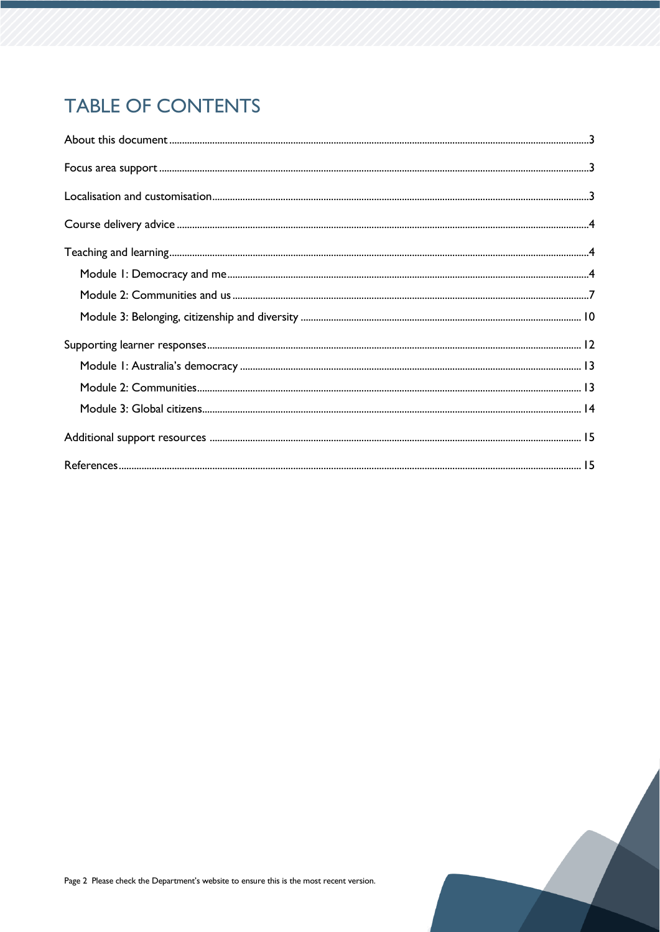## **TABLE OF CONTENTS**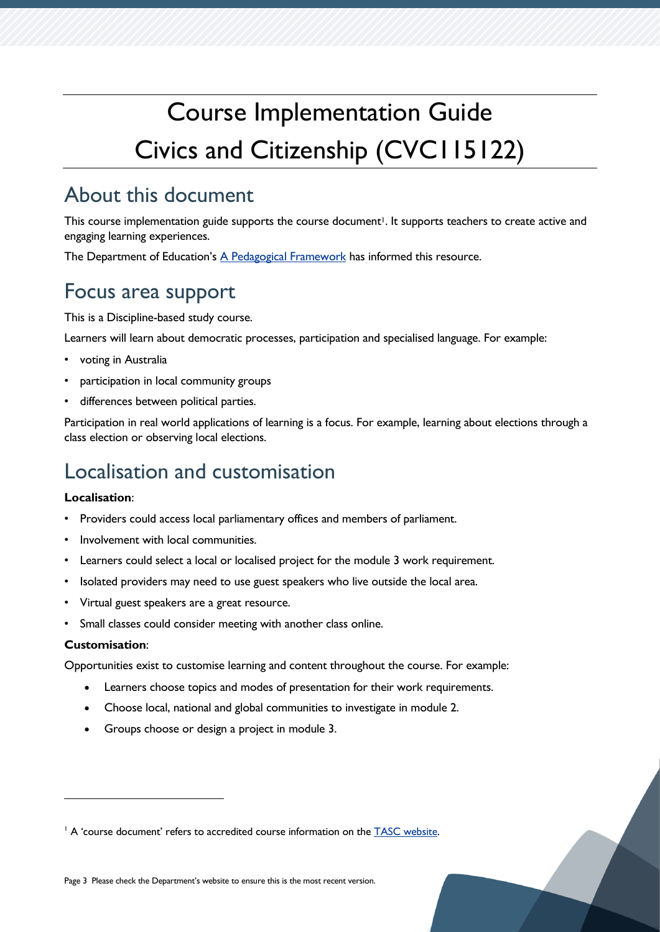# Course Implementation Guide Civics and Citizenship (CVC115122)

## <span id="page-2-0"></span>About this document

This course implementation guide supports the course document<sup>1</sup>. It supports teachers to create active and engaging learning experiences.

The Department of Education's [A Pedagogical Framework](https://documentcentre.education.tas.gov.au/_layouts/15/DocIdRedir.aspx?ID=TASED-1629159896-383) has informed this resource.

## <span id="page-2-1"></span>Focus area support

This is a Discipline-based study course.

Learners will learn about democratic processes, participation and specialised language. For example:

- voting in Australia
- participation in local community groups
- differences between political parties.

Participation in real world applications of learning is a focus. For example, learning about elections through a class election or observing local elections.

## <span id="page-2-2"></span>Localisation and customisation

#### **Localisation**:

- Providers could access local parliamentary offices and members of parliament.
- Involvement with local communities.
- Learners could select a local or localised project for the module 3 work requirement.
- Isolated providers may need to use guest speakers who live outside the local area.
- Virtual guest speakers are a great resource.
- Small classes could consider meeting with another class online.

#### **Customisation**:

Opportunities exist to customise learning and content throughout the course. For example:

- Learners choose topics and modes of presentation for their work requirements.
- Choose local, national and global communities to investigate in module 2.
- Groups choose or design a project in module 3.

Page 3 Please check the Department's website to ensure this is the most recent version.

<sup>&</sup>lt;sup>1</sup> A 'course document' refers to accredited course information on the **TASC** website.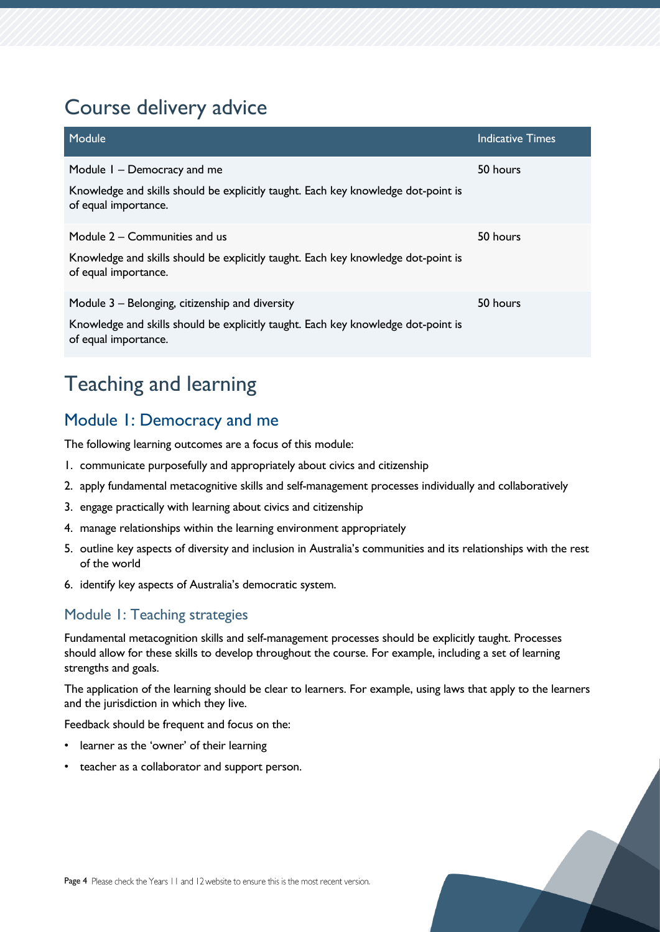## <span id="page-3-0"></span>Course delivery advice

| Module                                                                                                                                                       | <b>Indicative Times</b> |
|--------------------------------------------------------------------------------------------------------------------------------------------------------------|-------------------------|
| Module I - Democracy and me<br>Knowledge and skills should be explicitly taught. Each key knowledge dot-point is<br>of equal importance.                     | 50 hours                |
| Module 2 – Communities and us<br>Knowledge and skills should be explicitly taught. Each key knowledge dot-point is<br>of equal importance.                   | 50 hours                |
| Module 3 – Belonging, citizenship and diversity<br>Knowledge and skills should be explicitly taught. Each key knowledge dot-point is<br>of equal importance. | 50 hours                |

## <span id="page-3-1"></span>Teaching and learning

## <span id="page-3-2"></span>Module 1: Democracy and me

The following learning outcomes are a focus of this module:

- 1. communicate purposefully and appropriately about civics and citizenship
- 2. apply fundamental metacognitive skills and self-management processes individually and collaboratively
- 3. engage practically with learning about civics and citizenship
- 4. manage relationships within the learning environment appropriately
- 5. outline key aspects of diversity and inclusion in Australia's communities and its relationships with the rest of the world
- 6. identify key aspects of Australia's democratic system.

## Module 1: Teaching strategies

Fundamental metacognition skills and self-management processes should be explicitly taught. Processes should allow for these skills to develop throughout the course. For example, including a set of learning strengths and goals.

The application of the learning should be clear to learners. For example, using laws that apply to the learners and the jurisdiction in which they live.

Feedback should be frequent and focus on the:

- learner as the 'owner' of their learning
- teacher as a collaborator and support person.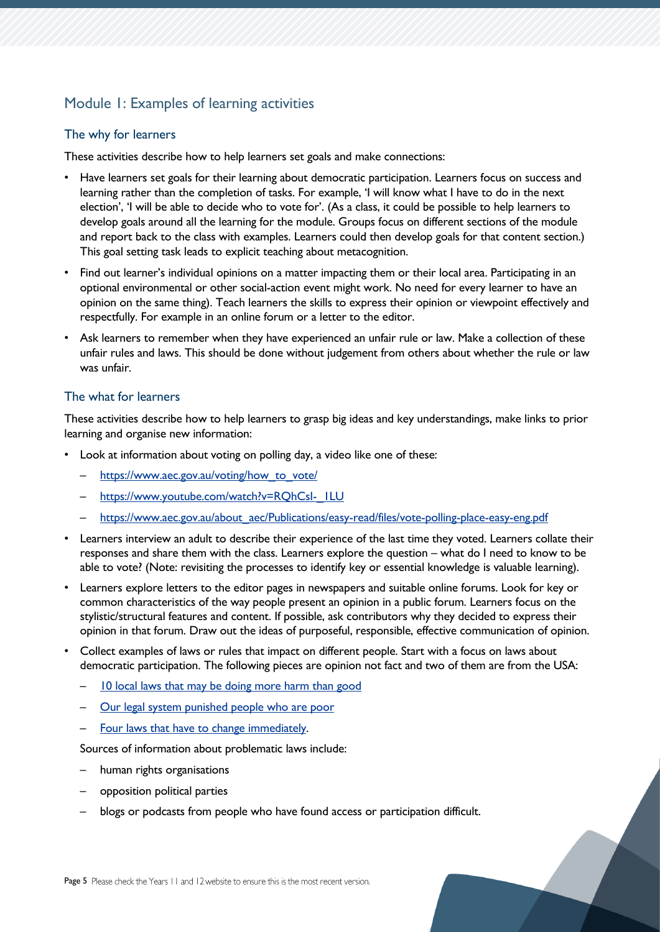## Module 1: Examples of learning activities

#### The why for learners

These activities describe how to help learners set goals and make connections:

- Have learners set goals for their learning about democratic participation. Learners focus on success and learning rather than the completion of tasks. For example, 'I will know what I have to do in the next election', 'I will be able to decide who to vote for'. (As a class, it could be possible to help learners to develop goals around all the learning for the module. Groups focus on different sections of the module and report back to the class with examples. Learners could then develop goals for that content section.) This goal setting task leads to explicit teaching about metacognition.
- Find out learner's individual opinions on a matter impacting them or their local area. Participating in an optional environmental or other social-action event might work. No need for every learner to have an opinion on the same thing). Teach learners the skills to express their opinion or viewpoint effectively and respectfully. For example in an online forum or a letter to the editor.
- Ask learners to remember when they have experienced an unfair rule or law. Make a collection of these unfair rules and laws. This should be done without judgement from others about whether the rule or law was unfair.

#### The what for learners

These activities describe how to help learners to grasp big ideas and key understandings, make links to prior learning and organise new information:

- Look at information about voting on polling day, a video like one of these:
	- [https://www.aec.gov.au/voting/how\\_to\\_vote/](https://www.aec.gov.au/voting/how_to_vote/)
	- https://www.youtube.com/watch?v=RQhCsI-\_ILU
	- [https://www.aec.gov.au/about\\_aec/Publications/easy-read/files/vote-polling-place-easy-eng.pdf](https://www.aec.gov.au/about_aec/Publications/easy-read/files/vote-polling-place-easy-eng.pdf)
- Learners interview an adult to describe their experience of the last time they voted. Learners collate their responses and share them with the class. Learners explore the question – what do I need to know to be able to vote? (Note: revisiting the processes to identify key or essential knowledge is valuable learning).
- Learners explore letters to the editor pages in newspapers and suitable online forums. Look for key or common characteristics of the way people present an opinion in a public forum. Learners focus on the stylistic/structural features and content. If possible, ask contributors why they decided to express their opinion in that forum. Draw out the ideas of purposeful, responsible, effective communication of opinion.
- Collect examples of laws or rules that impact on different people. Start with a focus on laws about democratic participation. The following pieces are opinion not fact and two of them are from the USA:
	- [10 local laws that may be doing more harm than good](https://medium.com/changelab-solutions/10-local-laws-that-may-be-doing-more-harm-than-good-68c8ee8005c5)
	- [Our legal system punished people who are poor](https://equaljusticeunderlaw.org/8-ways-our-legal-system-punishes-people-who-are-poor)
	- [Four laws that have to change immediately.](https://www.smh.com.au/opinion/four-laws-that-have-to-change-immediately-20170621-gwvo8h.html)

Sources of information about problematic laws include:

- human rights organisations
- opposition political parties
- blogs or podcasts from people who have found access or participation difficult.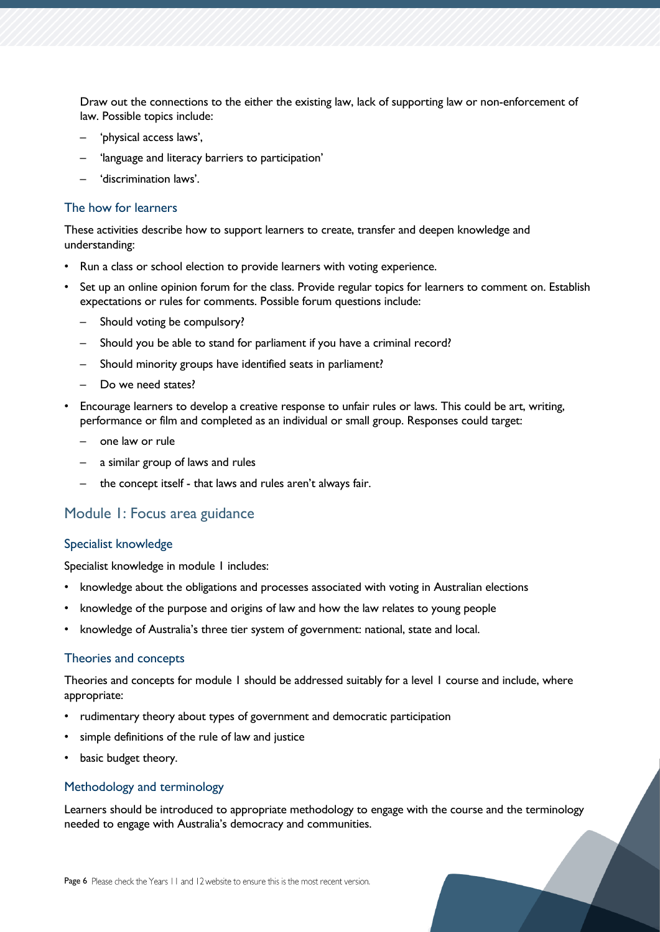Draw out the connections to the either the existing law, lack of supporting law or non-enforcement of law. Possible topics include:

- 'physical access laws',
- 'language and literacy barriers to participation'
- 'discrimination laws'.

#### The how for learners

These activities describe how to support learners to create, transfer and deepen knowledge and understanding:

- Run a class or school election to provide learners with voting experience.
- Set up an online opinion forum for the class. Provide regular topics for learners to comment on. Establish expectations or rules for comments. Possible forum questions include:
	- Should voting be compulsory?
	- Should you be able to stand for parliament if you have a criminal record?
	- Should minority groups have identified seats in parliament?
	- Do we need states?
- Encourage learners to develop a creative response to unfair rules or laws. This could be art, writing, performance or film and completed as an individual or small group. Responses could target:
	- one law or rule
	- a similar group of laws and rules
	- the concept itself that laws and rules aren't always fair.

### Module 1: Focus area guidance

#### Specialist knowledge

Specialist knowledge in module 1 includes:

- knowledge about the obligations and processes associated with voting in Australian elections
- knowledge of the purpose and origins of law and how the law relates to young people
- knowledge of Australia's three tier system of government: national, state and local.

#### Theories and concepts

Theories and concepts for module 1 should be addressed suitably for a level 1 course and include, where appropriate:

- rudimentary theory about types of government and democratic participation
- simple definitions of the rule of law and justice
- basic budget theory.

#### Methodology and terminology

Learners should be introduced to appropriate methodology to engage with the course and the terminology needed to engage with Australia's democracy and communities.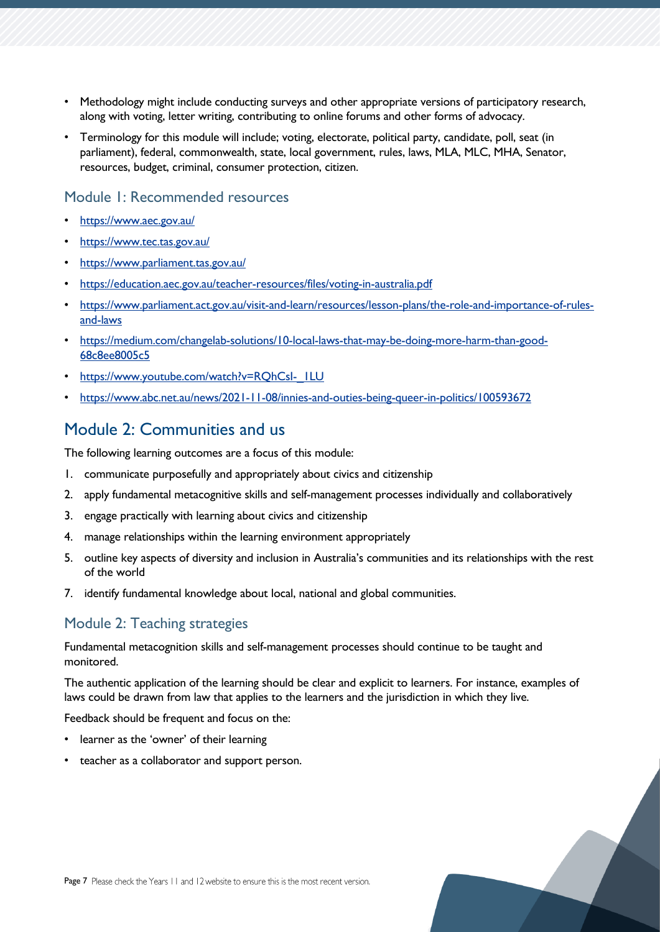- Methodology might include conducting surveys and other appropriate versions of participatory research, along with voting, letter writing, contributing to online forums and other forms of advocacy.
- Terminology for this module will include; voting, electorate, political party, candidate, poll, seat (in parliament), federal, commonwealth, state, local government, rules, laws, MLA, MLC, MHA, Senator, resources, budget, criminal, consumer protection, citizen.

### Module 1: Recommended resources

- <https://www.aec.gov.au/>
- <https://www.tec.tas.gov.au/>
- <https://www.parliament.tas.gov.au/>
- <https://education.aec.gov.au/teacher-resources/files/voting-in-australia.pdf>
- [https://www.parliament.act.gov.au/visit-and-learn/resources/lesson-plans/the-role-and-importance-of-rules](https://www.parliament.act.gov.au/visit-and-learn/resources/lesson-plans/the-role-and-importance-of-rules-and-laws)[and-laws](https://www.parliament.act.gov.au/visit-and-learn/resources/lesson-plans/the-role-and-importance-of-rules-and-laws)
- [https://medium.com/changelab-solutions/10-local-laws-that-may-be-doing-more-harm-than-good-](https://medium.com/changelab-solutions/10-local-laws-that-may-be-doing-more-harm-than-good-68c8ee8005c5)[68c8ee8005c5](https://medium.com/changelab-solutions/10-local-laws-that-may-be-doing-more-harm-than-good-68c8ee8005c5)
- https://www.youtube.com/watch?v=RQhCsI-\_ILU
- <https://www.abc.net.au/news/2021-11-08/innies-and-outies-being-queer-in-politics/100593672>

## <span id="page-6-0"></span>Module 2: Communities and us

The following learning outcomes are a focus of this module:

- 1. communicate purposefully and appropriately about civics and citizenship
- 2. apply fundamental metacognitive skills and self-management processes individually and collaboratively
- 3. engage practically with learning about civics and citizenship
- 4. manage relationships within the learning environment appropriately
- 5. outline key aspects of diversity and inclusion in Australia's communities and its relationships with the rest of the world
- 7. identify fundamental knowledge about local, national and global communities.

### Module 2: Teaching strategies

Fundamental metacognition skills and self-management processes should continue to be taught and monitored.

The authentic application of the learning should be clear and explicit to learners. For instance, examples of laws could be drawn from law that applies to the learners and the jurisdiction in which they live.

Feedback should be frequent and focus on the:

- learner as the 'owner' of their learning
- teacher as a collaborator and support person.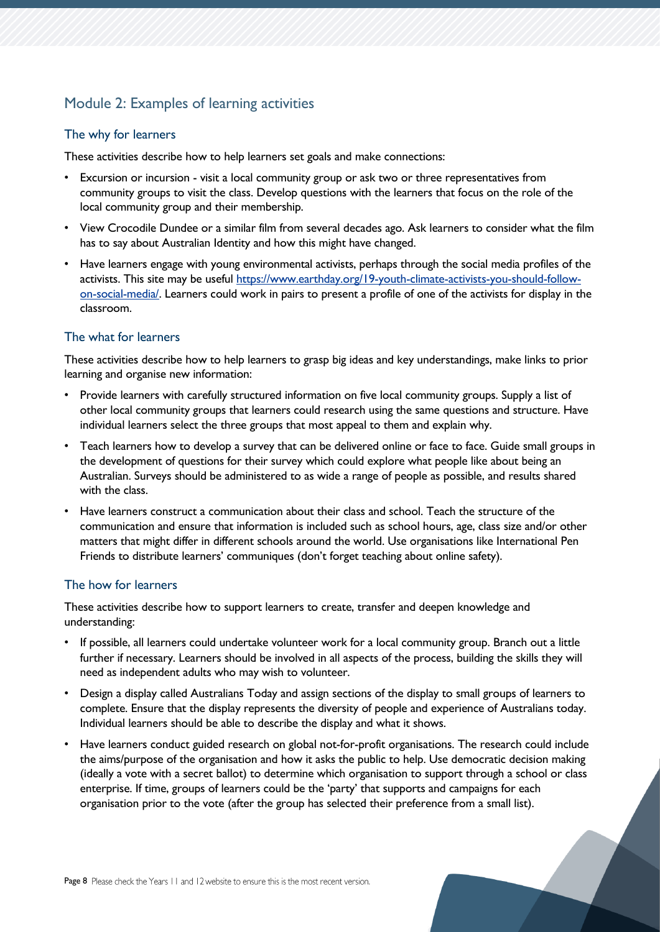## Module 2: Examples of learning activities

#### The why for learners

These activities describe how to help learners set goals and make connections:

- Excursion or incursion visit a local community group or ask two or three representatives from community groups to visit the class. Develop questions with the learners that focus on the role of the local community group and their membership.
- View Crocodile Dundee or a similar film from several decades ago. Ask learners to consider what the film has to say about Australian Identity and how this might have changed.
- Have learners engage with young environmental activists, perhaps through the social media profiles of the activists. This site may be useful [https://www.earthday.org/19-youth-climate-activists-you-should-follow](https://www.earthday.org/19-youth-climate-activists-you-should-follow-on-social-media/)[on-social-media/.](https://www.earthday.org/19-youth-climate-activists-you-should-follow-on-social-media/) Learners could work in pairs to present a profile of one of the activists for display in the classroom.

#### The what for learners

These activities describe how to help learners to grasp big ideas and key understandings, make links to prior learning and organise new information:

- Provide learners with carefully structured information on five local community groups. Supply a list of other local community groups that learners could research using the same questions and structure. Have individual learners select the three groups that most appeal to them and explain why.
- Teach learners how to develop a survey that can be delivered online or face to face. Guide small groups in the development of questions for their survey which could explore what people like about being an Australian. Surveys should be administered to as wide a range of people as possible, and results shared with the class.
- Have learners construct a communication about their class and school. Teach the structure of the communication and ensure that information is included such as school hours, age, class size and/or other matters that might differ in different schools around the world. Use organisations like International Pen Friends to distribute learners' communiques (don't forget teaching about online safety).

### The how for learners

These activities describe how to support learners to create, transfer and deepen knowledge and understanding:

- If possible, all learners could undertake volunteer work for a local community group. Branch out a little further if necessary. Learners should be involved in all aspects of the process, building the skills they will need as independent adults who may wish to volunteer.
- Design a display called Australians Today and assign sections of the display to small groups of learners to complete. Ensure that the display represents the diversity of people and experience of Australians today. Individual learners should be able to describe the display and what it shows.
- Have learners conduct guided research on global not-for-profit organisations. The research could include the aims/purpose of the organisation and how it asks the public to help. Use democratic decision making (ideally a vote with a secret ballot) to determine which organisation to support through a school or class enterprise. If time, groups of learners could be the 'party' that supports and campaigns for each organisation prior to the vote (after the group has selected their preference from a small list).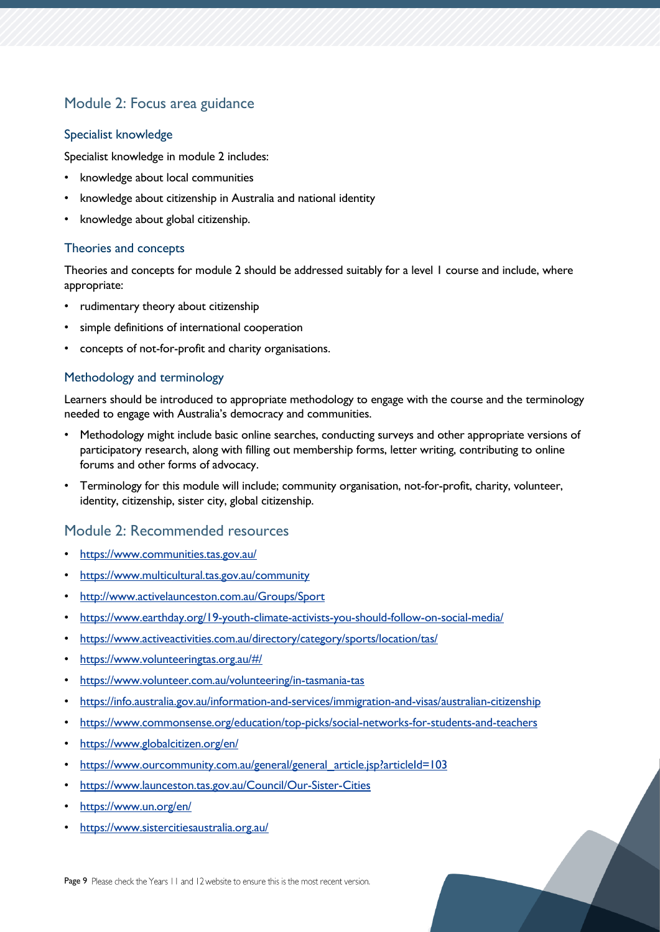## Module 2: Focus area guidance

#### Specialist knowledge

Specialist knowledge in module 2 includes:

- knowledge about local communities
- knowledge about citizenship in Australia and national identity
- knowledge about global citizenship.

#### Theories and concepts

Theories and concepts for module 2 should be addressed suitably for a level 1 course and include, where appropriate:

- rudimentary theory about citizenship
- simple definitions of international cooperation
- concepts of not-for-profit and charity organisations.

#### Methodology and terminology

Learners should be introduced to appropriate methodology to engage with the course and the terminology needed to engage with Australia's democracy and communities.

- Methodology might include basic online searches, conducting surveys and other appropriate versions of participatory research, along with filling out membership forms, letter writing, contributing to online forums and other forms of advocacy.
- Terminology for this module will include; community organisation, not-for-profit, charity, volunteer, identity, citizenship, sister city, global citizenship.

## Module 2: Recommended resources

- <https://www.communities.tas.gov.au/>
- <https://www.multicultural.tas.gov.au/community>
- <http://www.activelaunceston.com.au/Groups/Sport>
- <https://www.earthday.org/19-youth-climate-activists-you-should-follow-on-social-media/>
- <https://www.activeactivities.com.au/directory/category/sports/location/tas/>
- <https://www.volunteeringtas.org.au/#/>
- <https://www.volunteer.com.au/volunteering/in-tasmania-tas>
- <https://info.australia.gov.au/information-and-services/immigration-and-visas/australian-citizenship>
- <https://www.commonsense.org/education/top-picks/social-networks-for-students-and-teachers>
- <https://www.globalcitizen.org/en/>
- [https://www.ourcommunity.com.au/general/general\\_article.jsp?articleId=103](https://www.ourcommunity.com.au/general/general_article.jsp?articleId=103)
- <https://www.launceston.tas.gov.au/Council/Our-Sister-Cities>
- <https://www.un.org/en/>
- <https://www.sistercitiesaustralia.org.au/>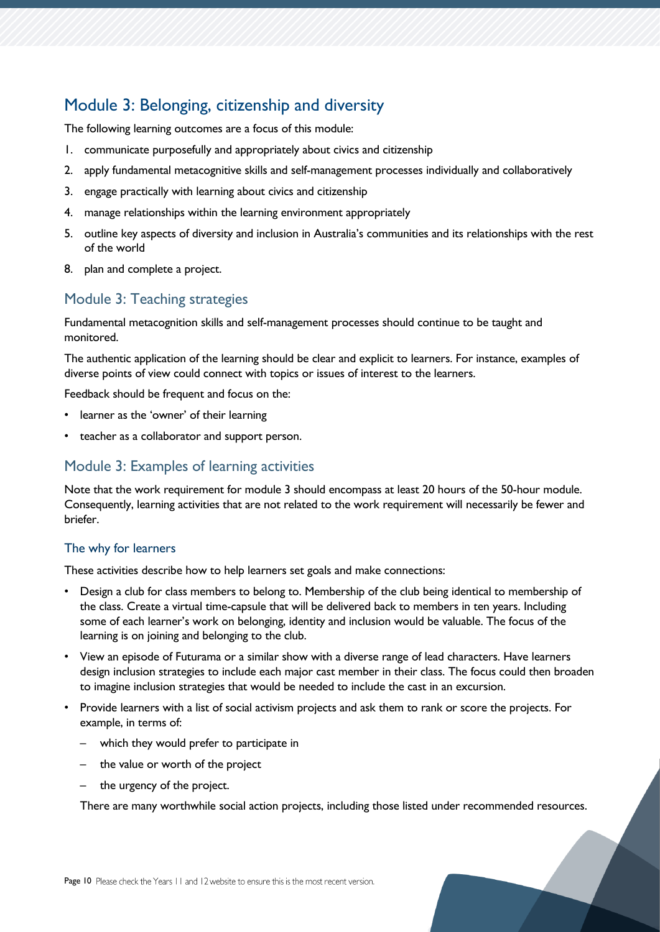## <span id="page-9-0"></span>Module 3: Belonging, citizenship and diversity

The following learning outcomes are a focus of this module:

- 1. communicate purposefully and appropriately about civics and citizenship
- 2. apply fundamental metacognitive skills and self-management processes individually and collaboratively
- 3. engage practically with learning about civics and citizenship
- 4. manage relationships within the learning environment appropriately
- 5. outline key aspects of diversity and inclusion in Australia's communities and its relationships with the rest of the world
- 8. plan and complete a project.

### Module 3: Teaching strategies

Fundamental metacognition skills and self-management processes should continue to be taught and monitored.

The authentic application of the learning should be clear and explicit to learners. For instance, examples of diverse points of view could connect with topics or issues of interest to the learners.

Feedback should be frequent and focus on the:

- learner as the 'owner' of their learning
- teacher as a collaborator and support person.

### Module 3: Examples of learning activities

Note that the work requirement for module 3 should encompass at least 20 hours of the 50-hour module. Consequently, learning activities that are not related to the work requirement will necessarily be fewer and briefer.

### The why for learners

These activities describe how to help learners set goals and make connections:

- Design a club for class members to belong to. Membership of the club being identical to membership of the class. Create a virtual time-capsule that will be delivered back to members in ten years. Including some of each learner's work on belonging, identity and inclusion would be valuable. The focus of the learning is on joining and belonging to the club.
- View an episode of Futurama or a similar show with a diverse range of lead characters. Have learners design inclusion strategies to include each major cast member in their class. The focus could then broaden to imagine inclusion strategies that would be needed to include the cast in an excursion.
- Provide learners with a list of social activism projects and ask them to rank or score the projects. For example, in terms of:
	- which they would prefer to participate in
	- the value or worth of the project
	- the urgency of the project.

There are many worthwhile social action projects, including those listed under recommended resources.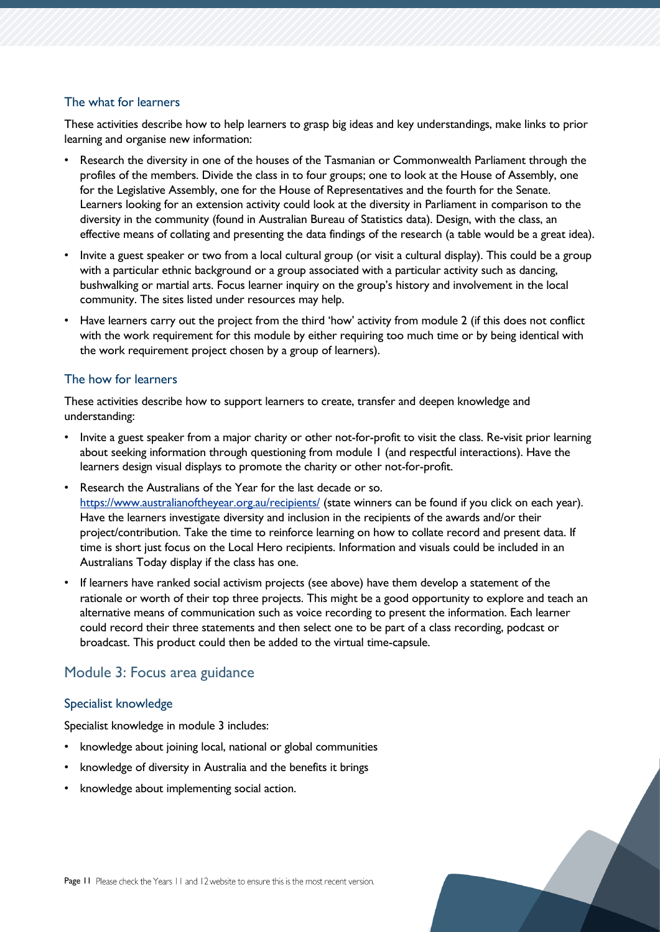#### The what for learners

These activities describe how to help learners to grasp big ideas and key understandings, make links to prior learning and organise new information:

- Research the diversity in one of the houses of the Tasmanian or Commonwealth Parliament through the profiles of the members. Divide the class in to four groups; one to look at the House of Assembly, one for the Legislative Assembly, one for the House of Representatives and the fourth for the Senate. Learners looking for an extension activity could look at the diversity in Parliament in comparison to the diversity in the community (found in Australian Bureau of Statistics data). Design, with the class, an effective means of collating and presenting the data findings of the research (a table would be a great idea).
- Invite a guest speaker or two from a local cultural group (or visit a cultural display). This could be a group with a particular ethnic background or a group associated with a particular activity such as dancing, bushwalking or martial arts. Focus learner inquiry on the group's history and involvement in the local community. The sites listed under resources may help.
- Have learners carry out the project from the third 'how' activity from module 2 (if this does not conflict with the work requirement for this module by either requiring too much time or by being identical with the work requirement project chosen by a group of learners).

#### The how for learners

These activities describe how to support learners to create, transfer and deepen knowledge and understanding:

- Invite a guest speaker from a major charity or other not-for-profit to visit the class. Re-visit prior learning about seeking information through questioning from module 1 (and respectful interactions). Have the learners design visual displays to promote the charity or other not-for-profit.
- Research the Australians of the Year for the last decade or so. <https://www.australianoftheyear.org.au/recipients/> (state winners can be found if you click on each year). Have the learners investigate diversity and inclusion in the recipients of the awards and/or their project/contribution. Take the time to reinforce learning on how to collate record and present data. If time is short just focus on the Local Hero recipients. Information and visuals could be included in an Australians Today display if the class has one.
- If learners have ranked social activism projects (see above) have them develop a statement of the rationale or worth of their top three projects. This might be a good opportunity to explore and teach an alternative means of communication such as voice recording to present the information. Each learner could record their three statements and then select one to be part of a class recording, podcast or broadcast. This product could then be added to the virtual time-capsule.

## Module 3: Focus area guidance

#### Specialist knowledge

Specialist knowledge in module 3 includes:

- knowledge about joining local, national or global communities
- knowledge of diversity in Australia and the benefits it brings
- knowledge about implementing social action.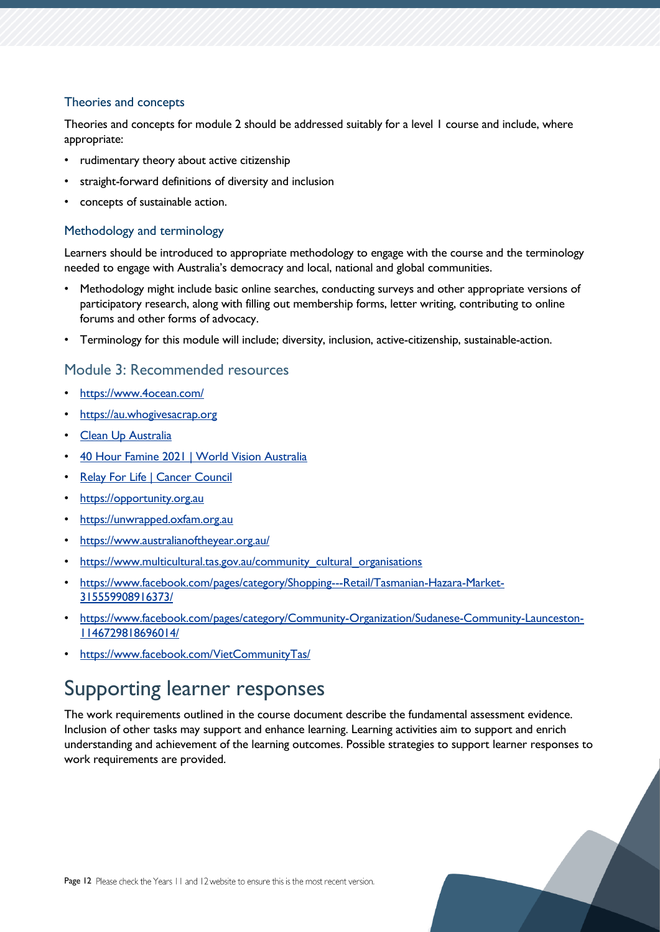### Theories and concepts

Theories and concepts for module 2 should be addressed suitably for a level 1 course and include, where appropriate:

- rudimentary theory about active citizenship
- straight-forward definitions of diversity and inclusion
- concepts of sustainable action.

#### Methodology and terminology

Learners should be introduced to appropriate methodology to engage with the course and the terminology needed to engage with Australia's democracy and local, national and global communities.

- Methodology might include basic online searches, conducting surveys and other appropriate versions of participatory research, along with filling out membership forms, letter writing, contributing to online forums and other forms of advocacy.
- Terminology for this module will include; diversity, inclusion, active-citizenship, sustainable-action.

### Module 3: Recommended resources

- <https://www.4ocean.com/>
- [https://au.whogivesacrap.org](https://au.whogivesacrap.org/)
- [Clean Up Australia](https://www.cleanup.org.au/cleanupaustraliaday)
- [40 Hour Famine 2021 | World Vision Australia](https://www.worldvision.com.au/40hf-2021)
- [Relay For Life | Cancer Council](https://www.cancer.org.au/relay-for-life)
- [https://opportunity.org.au](https://opportunity.org.au/)
- [https://unwrapped.oxfam.org.au](https://unwrapped.oxfam.org.au/)
- <https://www.australianoftheyear.org.au/>
- https://www.multicultural.tas.gov.au/community cultural organisations
- [https://www.facebook.com/pages/category/Shopping---Retail/Tasmanian-Hazara-Market-](https://www.facebook.com/pages/category/Shopping---Retail/Tasmanian-Hazara-Market-315559908916373/)[315559908916373/](https://www.facebook.com/pages/category/Shopping---Retail/Tasmanian-Hazara-Market-315559908916373/)
- [https://www.facebook.com/pages/category/Community-Organization/Sudanese-Community-Launceston-](https://www.facebook.com/pages/category/Community-Organization/Sudanese-Community-Launceston-1146729818696014/)[1146729818696014/](https://www.facebook.com/pages/category/Community-Organization/Sudanese-Community-Launceston-1146729818696014/)
- <https://www.facebook.com/VietCommunityTas/>

## <span id="page-11-0"></span>Supporting learner responses

The work requirements outlined in the course document describe the fundamental assessment evidence. Inclusion of other tasks may support and enhance learning. Learning activities aim to support and enrich understanding and achievement of the learning outcomes. Possible strategies to support learner responses to work requirements are provided.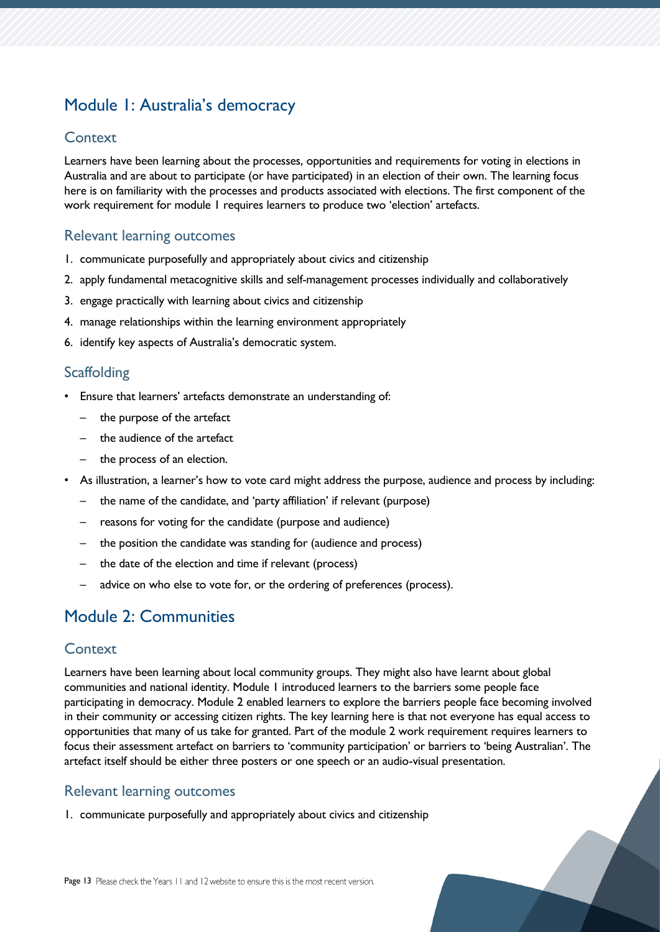## <span id="page-12-0"></span>Module 1: Australia's democracy

### **Context**

Learners have been learning about the processes, opportunities and requirements for voting in elections in Australia and are about to participate (or have participated) in an election of their own. The learning focus here is on familiarity with the processes and products associated with elections. The first component of the work requirement for module 1 requires learners to produce two 'election' artefacts.

## Relevant learning outcomes

- 1. communicate purposefully and appropriately about civics and citizenship
- 2. apply fundamental metacognitive skills and self-management processes individually and collaboratively
- 3. engage practically with learning about civics and citizenship
- 4. manage relationships within the learning environment appropriately
- 6. identify key aspects of Australia's democratic system.

## **Scaffolding**

- Ensure that learners' artefacts demonstrate an understanding of:
	- the purpose of the artefact
	- the audience of the artefact
	- the process of an election.
- As illustration, a learner's how to vote card might address the purpose, audience and process by including:
	- the name of the candidate, and 'party affiliation' if relevant (purpose)
	- reasons for voting for the candidate (purpose and audience)
	- the position the candidate was standing for (audience and process)
	- the date of the election and time if relevant (process)
	- advice on who else to vote for, or the ordering of preferences (process).

## <span id="page-12-1"></span>Module 2: Communities

### **Context**

Learners have been learning about local community groups. They might also have learnt about global communities and national identity. Module 1 introduced learners to the barriers some people face participating in democracy. Module 2 enabled learners to explore the barriers people face becoming involved in their community or accessing citizen rights. The key learning here is that not everyone has equal access to opportunities that many of us take for granted. Part of the module 2 work requirement requires learners to focus their assessment artefact on barriers to 'community participation' or barriers to 'being Australian'. The artefact itself should be either three posters or one speech or an audio-visual presentation.

### Relevant learning outcomes

1. communicate purposefully and appropriately about civics and citizenship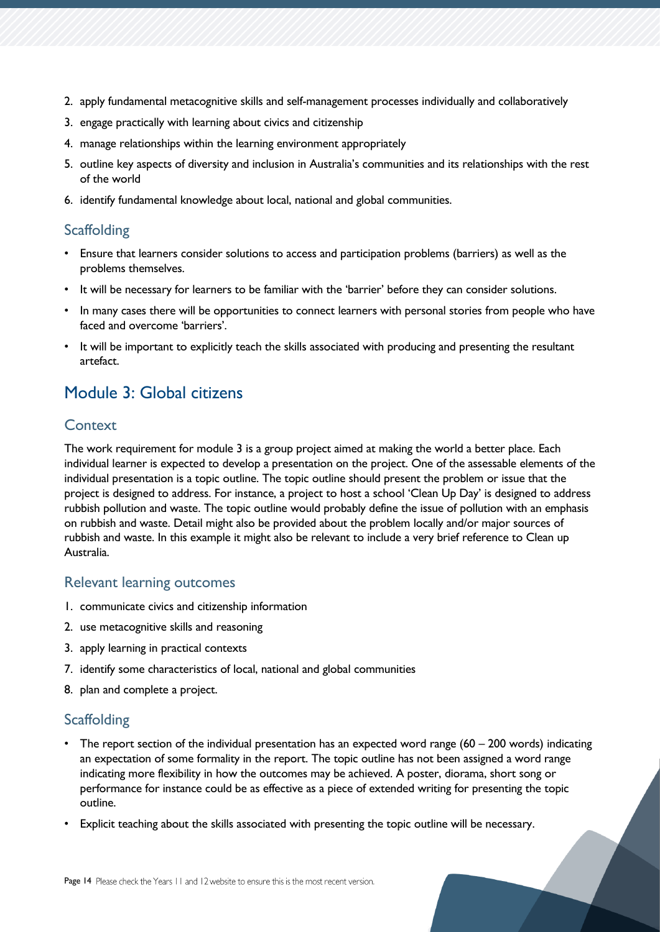- 2. apply fundamental metacognitive skills and self-management processes individually and collaboratively
- 3. engage practically with learning about civics and citizenship
- 4. manage relationships within the learning environment appropriately
- 5. outline key aspects of diversity and inclusion in Australia's communities and its relationships with the rest of the world
- 6. identify fundamental knowledge about local, national and global communities.

## **Scaffolding**

- Ensure that learners consider solutions to access and participation problems (barriers) as well as the problems themselves.
- It will be necessary for learners to be familiar with the 'barrier' before they can consider solutions.
- In many cases there will be opportunities to connect learners with personal stories from people who have faced and overcome 'barriers'.
- It will be important to explicitly teach the skills associated with producing and presenting the resultant artefact.

## <span id="page-13-0"></span>Module 3: Global citizens

## **Context**

The work requirement for module 3 is a group project aimed at making the world a better place. Each individual learner is expected to develop a presentation on the project. One of the assessable elements of the individual presentation is a topic outline. The topic outline should present the problem or issue that the project is designed to address. For instance, a project to host a school 'Clean Up Day' is designed to address rubbish pollution and waste. The topic outline would probably define the issue of pollution with an emphasis on rubbish and waste. Detail might also be provided about the problem locally and/or major sources of rubbish and waste. In this example it might also be relevant to include a very brief reference to Clean up Australia.

## Relevant learning outcomes

- 1. communicate civics and citizenship information
- 2. use metacognitive skills and reasoning
- 3. apply learning in practical contexts
- 7. identify some characteristics of local, national and global communities
- 8. plan and complete a project.

## **Scaffolding**

- The report section of the individual presentation has an expected word range (60 200 words) indicating an expectation of some formality in the report. The topic outline has not been assigned a word range indicating more flexibility in how the outcomes may be achieved. A poster, diorama, short song or performance for instance could be as effective as a piece of extended writing for presenting the topic outline.
- Explicit teaching about the skills associated with presenting the topic outline will be necessary.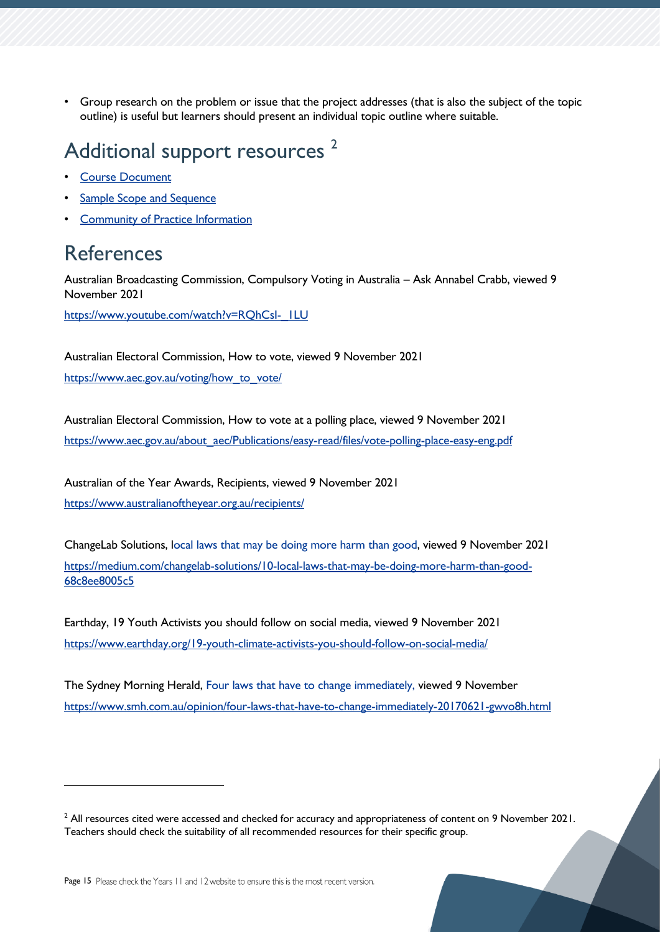• Group research on the problem or issue that the project addresses (that is also the subject of the topic outline) is useful but learners should present an individual topic outline where suitable.

## <span id="page-14-0"></span>Additional support resources<sup>2</sup>

- [Course Document](https://www.tasc.tas.gov.au/students/courses/humanities-and-social-sciences/cvc115122/)
- [Sample Scope and Sequence](https://documentcentre.education.tas.gov.au/_layouts/15/DocIdRedir.aspx?ID=TASED-1409172972-1877)
- [Community of Practice Information](https://11and12.education.tas.gov.au/communities-of-practice/)

## <span id="page-14-1"></span>References

Australian Broadcasting Commission, Compulsory Voting in Australia – Ask Annabel Crabb, viewed 9 November 2021

https://www.youtube.com/watch?v=RQhCsI-\_ILU

Australian Electoral Commission, How to vote, viewed 9 November 2021 [https://www.aec.gov.au/voting/how\\_to\\_vote/](https://www.aec.gov.au/voting/how_to_vote/)

Australian Electoral Commission, How to vote at a polling place, viewed 9 November 2021 [https://www.aec.gov.au/about\\_aec/Publications/easy-read/files/vote-polling-place-easy-eng.pdf](https://www.aec.gov.au/about_aec/Publications/easy-read/files/vote-polling-place-easy-eng.pdf)

Australian of the Year Awards, Recipients, viewed 9 November 2021 <https://www.australianoftheyear.org.au/recipients/>

ChangeLab Solutions, [local laws that may be doing more harm than good,](https://medium.com/changelab-solutions/10-local-laws-that-may-be-doing-more-harm-than-good-68c8ee8005c5) viewed 9 November 2021 [https://medium.com/changelab-solutions/10-local-laws-that-may-be-doing-more-harm-than-good-](https://medium.com/changelab-solutions/10-local-laws-that-may-be-doing-more-harm-than-good-68c8ee8005c5)[68c8ee8005c5](https://medium.com/changelab-solutions/10-local-laws-that-may-be-doing-more-harm-than-good-68c8ee8005c5)

Earthday, 19 Youth Activists you should follow on social media, viewed 9 November 2021 <https://www.earthday.org/19-youth-climate-activists-you-should-follow-on-social-media/>

The Sydney Morning Herald, [Four laws that have to change immediately,](https://www.smh.com.au/opinion/four-laws-that-have-to-change-immediately-20170621-gwvo8h.html) viewed 9 November <https://www.smh.com.au/opinion/four-laws-that-have-to-change-immediately-20170621-gwvo8h.html>

 $<sup>2</sup>$  All resources cited were accessed and checked for accuracy and appropriateness of content on 9 November 2021.</sup> Teachers should check the suitability of all recommended resources for their specific group.